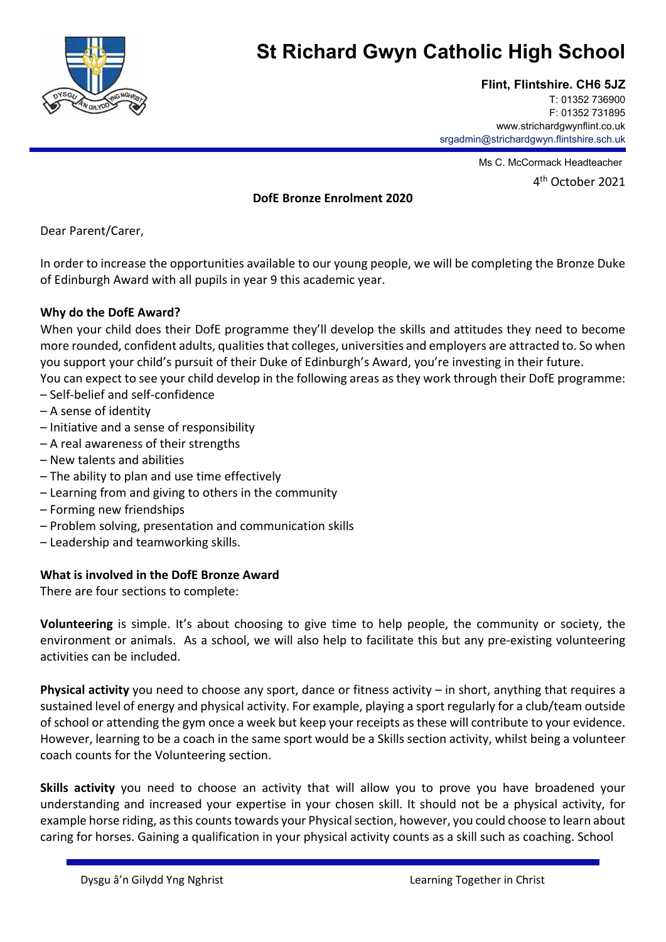

# **St Richard Gwyn Catholic High School**

# **Flint, Flintshire. CH6 5JZ**

T: 01352 736900 F: 01352 731895 www.strichardgwynflint.co.uk srgadmin@strichardgwyn.flintshire.sch.uk

Ms C. McCormack Headteacher

4th October 2021

### **DofE Bronze Enrolment 2020**

Dear Parent/Carer,

In order to increase the opportunities available to our young people, we will be completing the Bronze Duke of Edinburgh Award with all pupils in year 9 this academic year.

## **Why do the DofE Award?**

When your child does their DofE programme they'll develop the skills and attitudes they need to become more rounded, confident adults, qualities that colleges, universities and employers are attracted to. So when you support your child's pursuit of their Duke of Edinburgh's Award, you're investing in their future.

You can expect to see your child develop in the following areas as they work through their DofE programme: – Self‐belief and self‐confidence

- A sense of identity
- Initiative and a sense of responsibility
- A real awareness of their strengths
- New talents and abilities
- The ability to plan and use time effectively
- Learning from and giving to others in the community
- Forming new friendships
- Problem solving, presentation and communication skills
- Leadership and teamworking skills.

#### **What is involved in the DofE Bronze Award**

There are four sections to complete:

**Volunteering** is simple. It's about choosing to give time to help people, the community or society, the environment or animals. As a school, we will also help to facilitate this but any pre‐existing volunteering activities can be included.

**Physical activity** you need to choose any sport, dance or fitness activity – in short, anything that requires a sustained level of energy and physical activity. For example, playing a sport regularly for a club/team outside of school or attending the gym once a week but keep your receipts as these will contribute to your evidence. However, learning to be a coach in the same sport would be a Skills section activity, whilst being a volunteer coach counts for the Volunteering section.

**Skills activity** you need to choose an activity that will allow you to prove you have broadened your understanding and increased your expertise in your chosen skill. It should not be a physical activity, for example horse riding, as this counts towards your Physical section, however, you could choose to learn about caring for horses. Gaining a qualification in your physical activity counts as a skill such as coaching. School